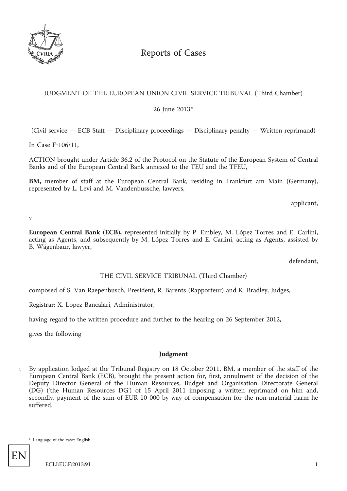

# Reports of Cases

## JUDGMENT OF THE EUROPEAN UNION CIVIL SERVICE TRIBUNAL (Third Chamber)

26 June 2013\*

(Civil service — ECB Staff — Disciplinary proceedings — Disciplinary penalty — Written reprimand)

In Case F-106/11,

ACTION brought under Article 36.2 of the Protocol on the Statute of the European System of Central Banks and of the European Central Bank annexed to the TEU and the TFEU,

**BM,** member of staff at the European Central Bank, residing in Frankfurt am Main (Germany), represented by L. Levi and M. Vandenbussche, lawyers,

applicant,

v

**European Central Bank (ECB),** represented initially by P. Embley, M. López Torres and E. Carlini, acting as Agents, and subsequently by M. López Torres and E. Carlini, acting as Agents, assisted by B. Wägenbaur, lawyer,

defendant,

## THE CIVIL SERVICE TRIBUNAL (Third Chamber)

composed of S. Van Raepenbusch, President, R. Barents (Rapporteur) and K. Bradley, Judges,

Registrar: X. Lopez Bancalari, Administrator,

having regard to the written procedure and further to the hearing on 26 September 2012,

gives the following

## **Judgment**

By application lodged at the Tribunal Registry on 18 October 2011, BM, a member of the staff of the European Central Bank (ECB), brought the present action for, first, annulment of the decision of the Deputy Director General of the Human Resources, Budget and Organisation Directorate General (DG) ('the Human Resources DG') of 15 April 2011 imposing a written reprimand on him and, secondly, payment of the sum of EUR 10 000 by way of compensation for the non-material harm he suffered. 1

\* Language of the case: English.

EN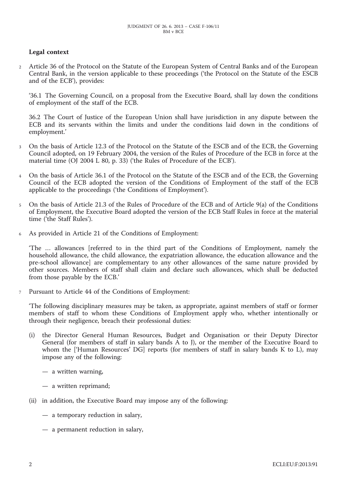## **Legal context**

<sup>2</sup> Article 36 of the Protocol on the Statute of the European System of Central Banks and of the European Central Bank, in the version applicable to these proceedings ('the Protocol on the Statute of the ESCB and of the ECB'), provides:

'36.1 The Governing Council, on a proposal from the Executive Board, shall lay down the conditions of employment of the staff of the ECB.

36.2 The Court of Justice of the European Union shall have jurisdiction in any dispute between the ECB and its servants within the limits and under the conditions laid down in the conditions of employment.'

- <sup>3</sup> On the basis of Article 12.3 of the Protocol on the Statute of the ESCB and of the ECB, the Governing Council adopted, on 19 February 2004, the version of the Rules of Procedure of the ECB in force at the material time (OJ 2004 L 80, p. 33) ('the Rules of Procedure of the ECB').
- <sup>4</sup> On the basis of Article 36.1 of the Protocol on the Statute of the ESCB and of the ECB, the Governing Council of the ECB adopted the version of the Conditions of Employment of the staff of the ECB applicable to the proceedings ('the Conditions of Employment').
- <sup>5</sup> On the basis of Article 21.3 of the Rules of Procedure of the ECB and of Article 9(a) of the Conditions of Employment, the Executive Board adopted the version of the ECB Staff Rules in force at the material time ('the Staff Rules').
- <sup>6</sup> As provided in Article 21 of the Conditions of Employment:

'The … allowances [referred to in the third part of the Conditions of Employment, namely the household allowance, the child allowance, the expatriation allowance, the education allowance and the pre-school allowance] are complementary to any other allowances of the same nature provided by other sources. Members of staff shall claim and declare such allowances, which shall be deducted from those payable by the ECB.'

<sup>7</sup> Pursuant to Article 44 of the Conditions of Employment:

'The following disciplinary measures may be taken, as appropriate, against members of staff or former members of staff to whom these Conditions of Employment apply who, whether intentionally or through their negligence, breach their professional duties:

- (i) the Director General Human Resources, Budget and Organisation or their Deputy Director General (for members of staff in salary bands A to J), or the member of the Executive Board to whom the ['Human Resources' DG] reports (for members of staff in salary bands K to L), may impose any of the following:
	- a written warning,
	- a written reprimand;
- (ii) in addition, the Executive Board may impose any of the following:
	- a temporary reduction in salary,
	- a permanent reduction in salary,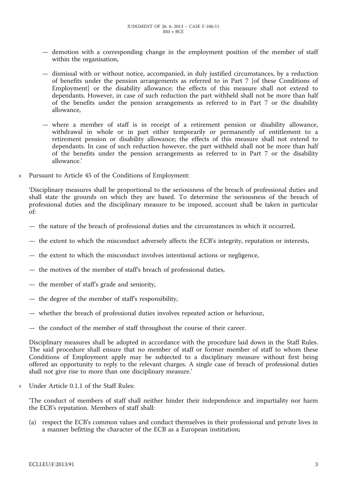- demotion with a corresponding change in the employment position of the member of staff within the organisation,
- dismissal with or without notice, accompanied, in duly justified circumstances, by a reduction of benefits under the pension arrangements as referred to in Part 7 [of these Conditions of Employment] or the disability allowance; the effects of this measure shall not extend to dependants. However, in case of such reduction the part withheld shall not be more than half of the benefits under the pension arrangements as referred to in Part 7 or the disability allowance,
- where a member of staff is in receipt of a retirement pension or disability allowance, withdrawal in whole or in part either temporarily or permanently of entitlement to a retirement pension or disability allowance; the effects of this measure shall not extend to dependants. In case of such reduction however, the part withheld shall not be more than half of the benefits under the pension arrangements as referred to in Part 7 or the disability allowance.'
- <sup>8</sup> Pursuant to Article 45 of the Conditions of Employment:

'Disciplinary measures shall be proportional to the seriousness of the breach of professional duties and shall state the grounds on which they are based. To determine the seriousness of the breach of professional duties and the disciplinary measure to be imposed, account shall be taken in particular of:

- the nature of the breach of professional duties and the circumstances in which it occurred,
- the extent to which the misconduct adversely affects the ECB's integrity, reputation or interests,
- the extent to which the misconduct involves intentional actions or negligence,
- the motives of the member of staff's breach of professional duties,
- the member of staff's grade and seniority,
- the degree of the member of staff's responsibility,
- whether the breach of professional duties involves repeated action or behaviour,
- the conduct of the member of staff throughout the course of their career.

Disciplinary measures shall be adopted in accordance with the procedure laid down in the Staff Rules. The said procedure shall ensure that no member of staff or former member of staff to whom these Conditions of Employment apply may be subjected to a disciplinary measure without first being offered an opportunity to reply to the relevant charges. A single case of breach of professional duties shall not give rise to more than one disciplinary measure.'

<sup>9</sup> Under Article 0.1.1 of the Staff Rules:

'The conduct of members of staff shall neither hinder their independence and impartiality nor harm the ECB's reputation. Members of staff shall:

(a) respect the ECB's common values and conduct themselves in their professional and private lives in a manner befitting the character of the ECB as a European institution;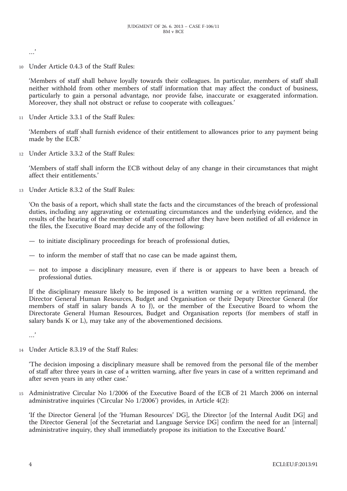…'

<sup>10</sup> Under Article 0.4.3 of the Staff Rules:

'Members of staff shall behave loyally towards their colleagues. In particular, members of staff shall neither withhold from other members of staff information that may affect the conduct of business, particularly to gain a personal advantage, nor provide false, inaccurate or exaggerated information. Moreover, they shall not obstruct or refuse to cooperate with colleagues.'

<sup>11</sup> Under Article 3.3.1 of the Staff Rules:

'Members of staff shall furnish evidence of their entitlement to allowances prior to any payment being made by the ECB.'

<sup>12</sup> Under Article 3.3.2 of the Staff Rules:

'Members of staff shall inform the ECB without delay of any change in their circumstances that might affect their entitlements.'

<sup>13</sup> Under Article 8.3.2 of the Staff Rules:

'On the basis of a report, which shall state the facts and the circumstances of the breach of professional duties, including any aggravating or extenuating circumstances and the underlying evidence, and the results of the hearing of the member of staff concerned after they have been notified of all evidence in the files, the Executive Board may decide any of the following:

- to initiate disciplinary proceedings for breach of professional duties,
- to inform the member of staff that no case can be made against them,
- not to impose a disciplinary measure, even if there is or appears to have been a breach of professional duties.

If the disciplinary measure likely to be imposed is a written warning or a written reprimand, the Director General Human Resources, Budget and Organisation or their Deputy Director General (for members of staff in salary bands A to J), or the member of the Executive Board to whom the Directorate General Human Resources, Budget and Organisation reports (for members of staff in salary bands K or L), may take any of the abovementioned decisions.

…'

<sup>14</sup> Under Article 8.3.19 of the Staff Rules:

'The decision imposing a disciplinary measure shall be removed from the personal file of the member of staff after three years in case of a written warning, after five years in case of a written reprimand and after seven years in any other case.'

<sup>15</sup> Administrative Circular No 1/2006 of the Executive Board of the ECB of 21 March 2006 on internal administrative inquiries ('Circular No 1/2006') provides, in Article 4(2):

'If the Director General [of the 'Human Resources' DG], the Director [of the Internal Audit DG] and the Director General [of the Secretariat and Language Service DG] confirm the need for an [internal] administrative inquiry, they shall immediately propose its initiation to the Executive Board.'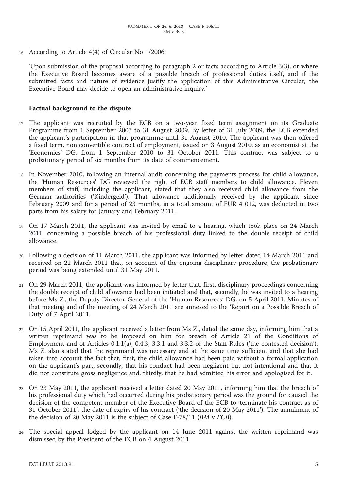<sup>16</sup> According to Article 4(4) of Circular No 1/2006:

'Upon submission of the proposal according to paragraph 2 or facts according to Article 3(3), or where the Executive Board becomes aware of a possible breach of professional duties itself, and if the submitted facts and nature of evidence justify the application of this Administrative Circular, the Executive Board may decide to open an administrative inquiry.'

#### **Factual background to the dispute**

- <sup>17</sup> The applicant was recruited by the ECB on a two-year fixed term assignment on its Graduate Programme from 1 September 2007 to 31 August 2009. By letter of 31 July 2009, the ECB extended the applicant's participation in that programme until 31 August 2010. The applicant was then offered a fixed term, non convertible contract of employment, issued on 3 August 2010, as an economist at the 'Economics' DG, from 1 September 2010 to 31 October 2011. This contract was subject to a probationary period of six months from its date of commencement.
- <sup>18</sup> In November 2010, following an internal audit concerning the payments process for child allowance, the 'Human Resources' DG reviewed the right of ECB staff members to child allowance. Eleven members of staff, including the applicant, stated that they also received child allowance from the German authorities ('Kindergeld'). That allowance additionally received by the applicant since February 2009 and for a period of 23 months, in a total amount of EUR 4 012, was deducted in two parts from his salary for January and February 2011.
- <sup>19</sup> On 17 March 2011, the applicant was invited by email to a hearing, which took place on 24 March 2011, concerning a possible breach of his professional duty linked to the double receipt of child allowance.
- <sup>20</sup> Following a decision of 11 March 2011, the applicant was informed by letter dated 14 March 2011 and received on 22 March 2011 that, on account of the ongoing disciplinary procedure, the probationary period was being extended until 31 May 2011.
- <sup>21</sup> On 29 March 2011, the applicant was informed by letter that, first, disciplinary proceedings concerning the double receipt of child allowance had been initiated and that, secondly, he was invited to a hearing before Ms Z., the Deputy Director General of the 'Human Resources' DG, on 5 April 2011. Minutes of that meeting and of the meeting of 24 March 2011 are annexed to the 'Report on a Possible Breach of Duty' of 7 April 2011.
- <sup>22</sup> On 15 April 2011, the applicant received a letter from Ms Z., dated the same day, informing him that a written reprimand was to be imposed on him for breach of Article 21 of the Conditions of Employment and of Articles 0.1.1(a), 0.4.3, 3.3.1 and 3.3.2 of the Staff Rules ('the contested decision'). Ms Z. also stated that the reprimand was necessary and at the same time sufficient and that she had taken into account the fact that, first, the child allowance had been paid without a formal application on the applicant's part, secondly, that his conduct had been negligent but not intentional and that it did not constitute gross negligence and, thirdly, that he had admitted his error and apologised for it.
- <sup>23</sup> On 23 May 2011, the applicant received a letter dated 20 May 2011, informing him that the breach of his professional duty which had occurred during his probationary period was the ground for caused the decision of the competent member of the Executive Board of the ECB to 'terminate his contract as of 31 October 2011', the date of expiry of his contract ('the decision of 20 May 2011'). The annulment of the decision of 20 May 2011 is the subject of Case F-78/11 (*BM* v *ECB*).
- <sup>24</sup> The special appeal lodged by the applicant on 14 June 2011 against the written reprimand was dismissed by the President of the ECB on 4 August 2011.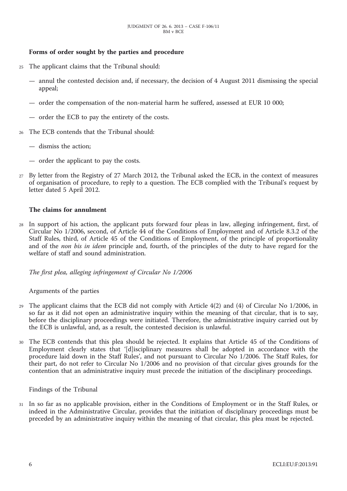## **Forms of order sought by the parties and procedure**

- <sup>25</sup> The applicant claims that the Tribunal should:
	- annul the contested decision and, if necessary, the decision of 4 August 2011 dismissing the special appeal;
	- order the compensation of the non-material harm he suffered, assessed at EUR 10 000;
	- order the ECB to pay the entirety of the costs.
- <sup>26</sup> The ECB contends that the Tribunal should:
	- dismiss the action;
	- order the applicant to pay the costs.
- <sup>27</sup> By letter from the Registry of 27 March 2012, the Tribunal asked the ECB, in the context of measures of organisation of procedure, to reply to a question. The ECB complied with the Tribunal's request by letter dated 5 April 2012.

#### **The claims for annulment**

<sup>28</sup> In support of his action, the applicant puts forward four pleas in law, alleging infringement, first, of Circular No 1/2006, second, of Article 44 of the Conditions of Employment and of Article 8.3.2 of the Staff Rules, third, of Article 45 of the Conditions of Employment, of the principle of proportionality and of the *non bis in idem* principle and, fourth, of the principles of the duty to have regard for the welfare of staff and sound administration.

*The first plea, alleging infringement of Circular No 1/2006*

#### Arguments of the parties

- <sup>29</sup> The applicant claims that the ECB did not comply with Article 4(2) and (4) of Circular No 1/2006, in so far as it did not open an administrative inquiry within the meaning of that circular, that is to say, before the disciplinary proceedings were initiated. Therefore, the administrative inquiry carried out by the ECB is unlawful, and, as a result, the contested decision is unlawful.
- The ECB contends that this plea should be rejected. It explains that Article 45 of the Conditions of Employment clearly states that '[d]isciplinary measures shall be adopted in accordance with the procedure laid down in the Staff Rules', and not pursuant to Circular No 1/2006. The Staff Rules, for their part, do not refer to Circular No 1/2006 and no provision of that circular gives grounds for the contention that an administrative inquiry must precede the initiation of the disciplinary proceedings.

Findings of the Tribunal

<sup>31</sup> In so far as no applicable provision, either in the Conditions of Employment or in the Staff Rules, or indeed in the Administrative Circular, provides that the initiation of disciplinary proceedings must be preceded by an administrative inquiry within the meaning of that circular, this plea must be rejected.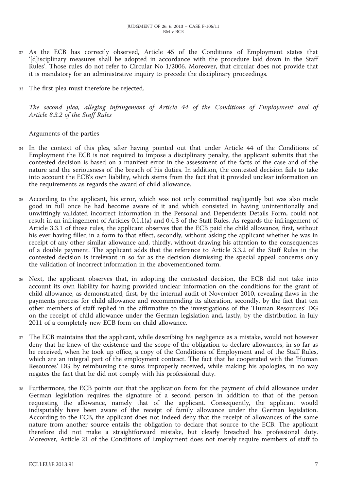- <sup>32</sup> As the ECB has correctly observed, Article 45 of the Conditions of Employment states that '[d]isciplinary measures shall be adopted in accordance with the procedure laid down in the Staff Rules'. Those rules do not refer to Circular No 1/2006. Moreover, that circular does not provide that it is mandatory for an administrative inquiry to precede the disciplinary proceedings.
- <sup>33</sup> The first plea must therefore be rejected.

*The second plea, alleging infringement of Article 44 of the Conditions of Employment and of Article 8.3.2 of the Staff Rules*

Arguments of the parties

- <sup>34</sup> In the context of this plea, after having pointed out that under Article 44 of the Conditions of Employment the ECB is not required to impose a disciplinary penalty, the applicant submits that the contested decision is based on a manifest error in the assessment of the facts of the case and of the nature and the seriousness of the breach of his duties. In addition, the contested decision fails to take into account the ECB's own liability, which stems from the fact that it provided unclear information on the requirements as regards the award of child allowance.
- <sup>35</sup> According to the applicant, his error, which was not only committed negligently but was also made good in full once he had become aware of it and which consisted in having unintentionally and unwittingly validated incorrect information in the Personal and Dependents Details Form, could not result in an infringement of Articles 0.1.1(a) and 0.4.3 of the Staff Rules. As regards the infringement of Article 3.3.1 of those rules, the applicant observes that the ECB paid the child allowance, first, without his ever having filled in a form to that effect, secondly, without asking the applicant whether he was in receipt of any other similar allowance and, thirdly, without drawing his attention to the consequences of a double payment. The applicant adds that the reference to Article 3.3.2 of the Staff Rules in the contested decision is irrelevant in so far as the decision dismissing the special appeal concerns only the validation of incorrect information in the abovementioned form.
- <sup>36</sup> Next, the applicant observes that, in adopting the contested decision, the ECB did not take into account its own liability for having provided unclear information on the conditions for the grant of child allowance, as demonstrated, first, by the internal audit of November 2010, revealing flaws in the payments process for child allowance and recommending its alteration, secondly, by the fact that ten other members of staff replied in the affirmative to the investigations of the 'Human Resources' DG on the receipt of child allowance under the German legislation and, lastly, by the distribution in July 2011 of a completely new ECB form on child allowance.
- <sup>37</sup> The ECB maintains that the applicant, while describing his negligence as a mistake, would not however deny that he knew of the existence and the scope of the obligation to declare allowances, in so far as he received, when he took up office, a copy of the Conditions of Employment and of the Staff Rules, which are an integral part of the employment contract. The fact that he cooperated with the 'Human Resources' DG by reimbursing the sums improperly received, while making his apologies, in no way negates the fact that he did not comply with his professional duty.
- <sup>38</sup> Furthermore, the ECB points out that the application form for the payment of child allowance under German legislation requires the signature of a second person in addition to that of the person requesting the allowance, namely that of the applicant. Consequently, the applicant would indisputably have been aware of the receipt of family allowance under the German legislation. According to the ECB, the applicant does not indeed deny that the receipt of allowances of the same nature from another source entails the obligation to declare that source to the ECB. The applicant therefore did not make a straightforward mistake, but clearly breached his professional duty. Moreover, Article 21 of the Conditions of Employment does not merely require members of staff to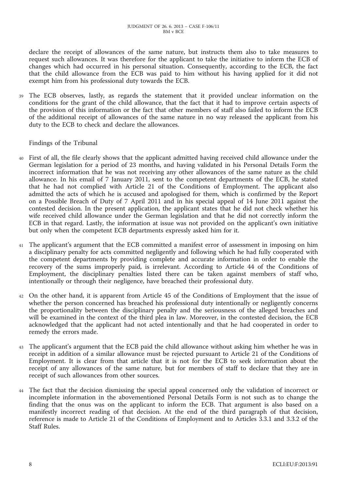declare the receipt of allowances of the same nature, but instructs them also to take measures to request such allowances. It was therefore for the applicant to take the initiative to inform the ECB of changes which had occurred in his personal situation. Consequently, according to the ECB, the fact that the child allowance from the ECB was paid to him without his having applied for it did not exempt him from his professional duty towards the ECB.

<sup>39</sup> The ECB observes, lastly, as regards the statement that it provided unclear information on the conditions for the grant of the child allowance, that the fact that it had to improve certain aspects of the provision of this information or the fact that other members of staff also failed to inform the ECB of the additional receipt of allowances of the same nature in no way released the applicant from his duty to the ECB to check and declare the allowances.

Findings of the Tribunal

- <sup>40</sup> First of all, the file clearly shows that the applicant admitted having received child allowance under the German legislation for a period of 23 months, and having validated in his Personal Details Form the incorrect information that he was not receiving any other allowances of the same nature as the child allowance. In his email of 7 January 2011, sent to the competent departments of the ECB, he stated that he had not complied with Article 21 of the Conditions of Employment. The applicant also admitted the acts of which he is accused and apologised for them, which is confirmed by the Report on a Possible Breach of Duty of 7 April 2011 and in his special appeal of 14 June 2011 against the contested decision. In the present application, the applicant states that he did not check whether his wife received child allowance under the German legislation and that he did not correctly inform the ECB in that regard. Lastly, the information at issue was not provided on the applicant's own initiative but only when the competent ECB departments expressly asked him for it.
- <sup>41</sup> The applicant's argument that the ECB committed a manifest error of assessment in imposing on him a disciplinary penalty for acts committed negligently and following which he had fully cooperated with the competent departments by providing complete and accurate information in order to enable the recovery of the sums improperly paid, is irrelevant. According to Article 44 of the Conditions of Employment, the disciplinary penalties listed there can be taken against members of staff who, intentionally or through their negligence, have breached their professional duty.
- <sup>42</sup> On the other hand, it is apparent from Article 45 of the Conditions of Employment that the issue of whether the person concerned has breached his professional duty intentionally or negligently concerns the proportionality between the disciplinary penalty and the seriousness of the alleged breaches and will be examined in the context of the third plea in law. Moreover, in the contested decision, the ECB acknowledged that the applicant had not acted intentionally and that he had cooperated in order to remedy the errors made.
- <sup>43</sup> The applicant's argument that the ECB paid the child allowance without asking him whether he was in receipt in addition of a similar allowance must be rejected pursuant to Article 21 of the Conditions of Employment. It is clear from that article that it is not for the ECB to seek information about the receipt of any allowances of the same nature, but for members of staff to declare that they are in receipt of such allowances from other sources.
- <sup>44</sup> The fact that the decision dismissing the special appeal concerned only the validation of incorrect or incomplete information in the abovementioned Personal Details Form is not such as to change the finding that the onus was on the applicant to inform the ECB. That argument is also based on a manifestly incorrect reading of that decision. At the end of the third paragraph of that decision, reference is made to Article 21 of the Conditions of Employment and to Articles 3.3.1 and 3.3.2 of the Staff Rules.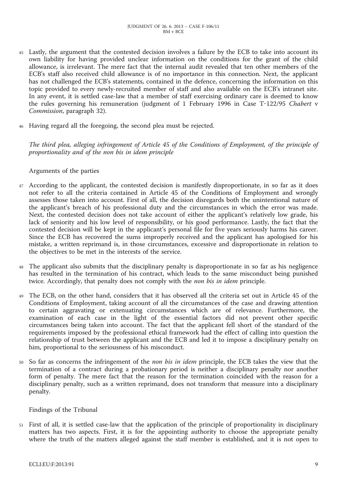- <sup>45</sup> Lastly, the argument that the contested decision involves a failure by the ECB to take into account its own liability for having provided unclear information on the conditions for the grant of the child allowance, is irrelevant. The mere fact that the internal audit revealed that ten other members of the ECB's staff also received child allowance is of no importance in this connection. Next, the applicant has not challenged the ECB's statements, contained in the defence, concerning the information on this topic provided to every newly-recruited member of staff and also available on the ECB's intranet site. In any event, it is settled case-law that a member of staff exercising ordinary care is deemed to know the rules governing his remuneration (judgment of 1 February 1996 in Case T-122/95 *Chabert* v *Commission*, paragraph 32).
- Having regard all the foregoing, the second plea must be rejected.

*The third plea, alleging infringement of Article 45 of the Conditions of Employment, of the principle of proportionality and of the non bis in idem principle*

### Arguments of the parties

- <sup>47</sup> According to the applicant, the contested decision is manifestly disproportionate, in so far as it does not refer to all the criteria contained in Article 45 of the Conditions of Employment and wrongly assesses those taken into account. First of all, the decision disregards both the unintentional nature of the applicant's breach of his professional duty and the circumstances in which the error was made. Next, the contested decision does not take account of either the applicant's relatively low grade, his lack of seniority and his low level of responsibility, or his good performance. Lastly, the fact that the contested decision will be kept in the applicant's personal file for five years seriously harms his career. Since the ECB has recovered the sums improperly received and the applicant has apologised for his mistake, a written reprimand is, in those circumstances, excessive and disproportionate in relation to the objectives to be met in the interests of the service.
- The applicant also submits that the disciplinary penalty is disproportionate in so far as his negligence has resulted in the termination of his contract, which leads to the same misconduct being punished twice. Accordingly, that penalty does not comply with the *non bis in idem* principle.
- <sup>49</sup> The ECB, on the other hand, considers that it has observed all the criteria set out in Article 45 of the Conditions of Employment, taking account of all the circumstances of the case and drawing attention to certain aggravating or extenuating circumstances which are of relevance. Furthermore, the examination of each case in the light of the essential factors did not prevent other specific circumstances being taken into account. The fact that the applicant fell short of the standard of the requirements imposed by the professional ethical framework had the effect of calling into question the relationship of trust between the applicant and the ECB and led it to impose a disciplinary penalty on him, proportional to the seriousness of his misconduct.
- <sup>50</sup> So far as concerns the infringement of the *non bis in idem* principle, the ECB takes the view that the termination of a contract during a probationary period is neither a disciplinary penalty nor another form of penalty. The mere fact that the reason for the termination coincided with the reason for a disciplinary penalty, such as a written reprimand, does not transform that measure into a disciplinary penalty.

#### Findings of the Tribunal

<sup>51</sup> First of all, it is settled case-law that the application of the principle of proportionality in disciplinary matters has two aspects. First, it is for the appointing authority to choose the appropriate penalty where the truth of the matters alleged against the staff member is established, and it is not open to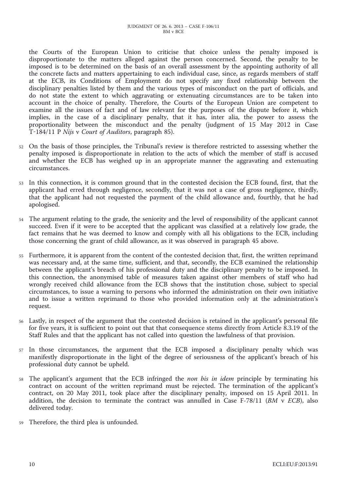the Courts of the European Union to criticise that choice unless the penalty imposed is disproportionate to the matters alleged against the person concerned. Second, the penalty to be imposed is to be determined on the basis of an overall assessment by the appointing authority of all the concrete facts and matters appertaining to each individual case, since, as regards members of staff at the ECB, its Conditions of Employment do not specify any fixed relationship between the disciplinary penalties listed by them and the various types of misconduct on the part of officials, and do not state the extent to which aggravating or extenuating circumstances are to be taken into account in the choice of penalty. Therefore, the Courts of the European Union are competent to examine all the issues of fact and of law relevant for the purposes of the dispute before it, which implies, in the case of a disciplinary penalty, that it has, inter alia, the power to assess the proportionality between the misconduct and the penalty (judgment of 15 May 2012 in Case T-184/11 P *Nijs* v *Court of Auditors*, paragraph 85).

- <sup>52</sup> On the basis of those principles, the Tribunal's review is therefore restricted to assessing whether the penalty imposed is disproportionate in relation to the acts of which the member of staff is accused and whether the ECB has weighed up in an appropriate manner the aggravating and extenuating circumstances.
- <sup>53</sup> In this connection, it is common ground that in the contested decision the ECB found, first, that the applicant had erred through negligence, secondly, that it was not a case of gross negligence, thirdly, that the applicant had not requested the payment of the child allowance and, fourthly, that he had apologised.
- <sup>54</sup> The argument relating to the grade, the seniority and the level of responsibility of the applicant cannot succeed. Even if it were to be accepted that the applicant was classified at a relatively low grade, the fact remains that he was deemed to know and comply with all his obligations to the ECB, including those concerning the grant of child allowance, as it was observed in paragraph 45 above.
- <sup>55</sup> Furthermore, it is apparent from the content of the contested decision that, first, the written reprimand was necessary and, at the same time, sufficient, and that, secondly, the ECB examined the relationship between the applicant's breach of his professional duty and the disciplinary penalty to be imposed. In this connection, the anonymised table of measures taken against other members of staff who had wrongly received child allowance from the ECB shows that the institution chose, subject to special circumstances, to issue a warning to persons who informed the administration on their own initiative and to issue a written reprimand to those who provided information only at the administration's request.
- <sup>56</sup> Lastly, in respect of the argument that the contested decision is retained in the applicant's personal file for five years, it is sufficient to point out that that consequence stems directly from Article 8.3.19 of the Staff Rules and that the applicant has not called into question the lawfulness of that provision.
- <sup>57</sup> In those circumstances, the argument that the ECB imposed a disciplinary penalty which was manifestly disproportionate in the light of the degree of seriousness of the applicant's breach of his professional duty cannot be upheld.
- <sup>58</sup> The applicant's argument that the ECB infringed the *non bis in idem* principle by terminating his contract on account of the written reprimand must be rejected. The termination of the applicant's contract, on 20 May 2011, took place after the disciplinary penalty, imposed on 15 April 2011. In addition, the decision to terminate the contract was annulled in Case F-78/11 (*BM* v *ECB*), also delivered today.
- <sup>59</sup> Therefore, the third plea is unfounded.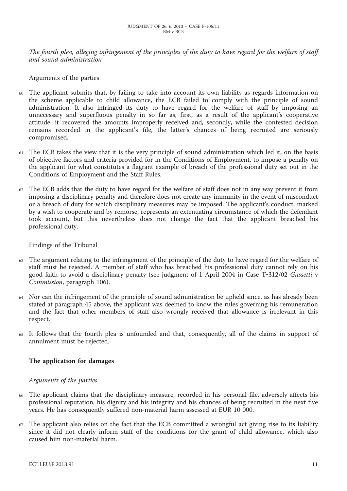The fourth plea, alleging infringement of the principles of the duty to have regard for the welfare of staff *and sound administration*

Arguments of the parties

- The applicant submits that, by failing to take into account its own liability as regards information on the scheme applicable to child allowance, the ECB failed to comply with the principle of sound administration. It also infringed its duty to have regard for the welfare of staff by imposing an unnecessary and superfluous penalty in so far as, first, as a result of the applicant's cooperative attitude, it recovered the amounts improperly received and, secondly, while the contested decision remains recorded in the applicant's file, the latter's chances of being recruited are seriously compromised.
- <sup>61</sup> The ECB takes the view that it is the very principle of sound administration which led it, on the basis of objective factors and criteria provided for in the Conditions of Employment, to impose a penalty on the applicant for what constitutes a flagrant example of breach of the professional duty set out in the Conditions of Employment and the Staff Rules.
- <sup>62</sup> The ECB adds that the duty to have regard for the welfare of staff does not in any way prevent it from imposing a disciplinary penalty and therefore does not create any immunity in the event of misconduct or a breach of duty for which disciplinary measures may be imposed. The applicant's conduct, marked by a wish to cooperate and by remorse, represents an extenuating circumstance of which the defendant took account, but this nevertheless does not change the fact that the applicant breached his professional duty.

Findings of the Tribunal

- The argument relating to the infringement of the principle of the duty to have regard for the welfare of staff must be rejected. A member of staff who has breached his professional duty cannot rely on his good faith to avoid a disciplinary penalty (see judgment of 1 April 2004 in Case T-312/02 *Gussetti* v *Commission*, paragraph 106).
- <sup>64</sup> Nor can the infringement of the principle of sound administration be upheld since, as has already been stated at paragraph 45 above, the applicant was deemed to know the rules governing his remuneration and the fact that other members of staff also wrongly received that allowance is irrelevant in this respect.
- <sup>65</sup> It follows that the fourth plea is unfounded and that, consequently, all of the claims in support of annulment must be rejected.

## **The application for damages**

#### *Arguments of the parties*

- <sup>66</sup> The applicant claims that the disciplinary measure, recorded in his personal file, adversely affects his professional reputation, his dignity and his integrity and his chances of being recruited in the next five years. He has consequently suffered non-material harm assessed at EUR 10 000.
- <sup>67</sup> The applicant also relies on the fact that the ECB committed a wrongful act giving rise to its liability since it did not clearly inform staff of the conditions for the grant of child allowance, which also caused him non-material harm.